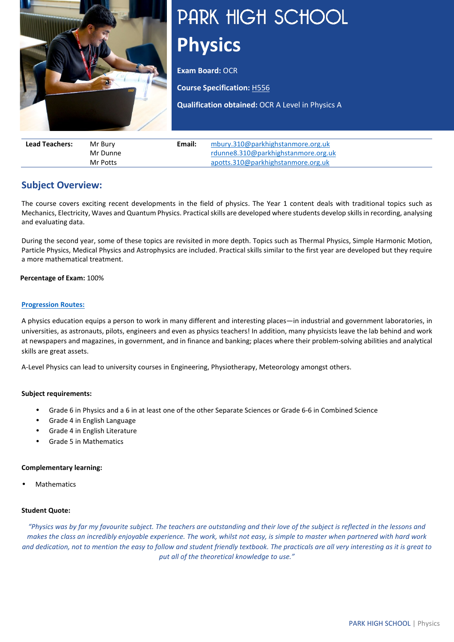

# PARK HIGH SCHOOL **Physics**

**Exam Board: OCR** 

**Course Specification:** [H556](https://www.ocr.org.uk/Images/171726-specification-accredited-a-level-gce-physics-a-h556.pdf)

**Qualification obtained:** OCR A Level in Physics A

| <b>Lead Teachers:</b> | Mr Burv  | Email: | mbury.310@parkhighstanmore.org.uk   |
|-----------------------|----------|--------|-------------------------------------|
|                       | Mr Dunne |        | rdunne8.310@parkhighstanmore.org.uk |
|                       | Mr Potts |        | apotts.310@parkhighstanmore.org.uk  |

# **Subject Overview:**

The course covers exciting recent developments in the field of physics. The Year 1 content deals with traditional topics such as Mechanics, Electricity, Waves and Quantum Physics. Practical skills are developed where students develop skills in recording, analysing and evaluating data.

During the second year, some of these topics are revisited in more depth. Topics such as Thermal Physics, Simple Harmonic Motion, Particle Physics, Medical Physics and Astrophysics are included. Practical skills similar to the first year are developed but they require a more mathematical treatment.

#### **Percentage of Exam:** 100%

#### **[Progression Routes:](https://www.parkhighstanmore.org.uk/careersandemploaybility/studentresources)**

A physics education equips a person to work in many different and interesting places—in industrial and government laboratories, in universities, as astronauts, pilots, engineers and even as physics teachers! In addition, many physicists leave the lab behind and work at newspapers and magazines, in government, and in finance and banking; places where their problem-solving abilities and analytical skills are great assets.

A-Level Physics can lead to university courses in Engineering, Physiotherapy, Meteorology amongst others.

#### **Subject requirements:**

- Grade 6 in Physics and a 6 in at least one of the other Separate Sciences or Grade 6-6 in Combined Science
- Grade 4 in English Language
- Grade 4 in English Literature
- Grade 5 in Mathematics

#### **Complementary learning:**

**Mathematics** 

#### **Student Quote:**

*"Physics was by far my favourite subject. The teachers are outstanding and their love of the subject is reflected in the lessons and*  makes the class an incredibly enjoyable experience. The work, whilst not easy, is simple to master when partnered with hard work *and dedication, not to mention the easy to follow and student friendly textbook. The practicals are all very interesting as it is great to put all of the theoretical knowledge to use."*